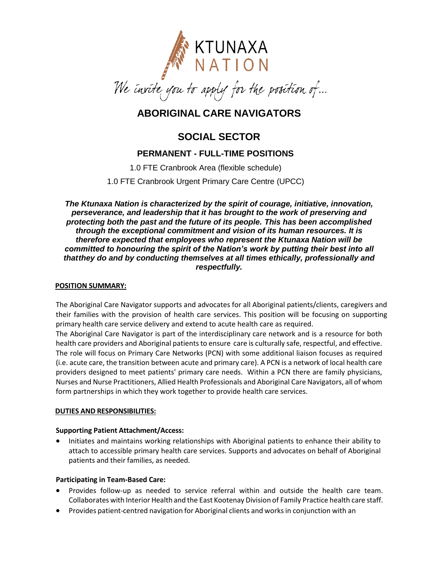

# **ABORIGINAL CARE NAVIGATORS**

# **SOCIAL SECTOR**

# **PERMANENT - FULL-TIME POSITIONS**

1.0 FTE Cranbrook Area (flexible schedule)

1.0 FTE Cranbrook Urgent Primary Care Centre (UPCC)

*The Ktunaxa Nation is characterized by the spirit of courage, initiative, innovation, perseverance, and leadership that it has brought to the work of preserving and protecting both the past and the future of its people. This has been accomplished through the exceptional commitment and vision of its human resources. It is therefore expected that employees who represent the Ktunaxa Nation will be committed to honouring the spirit of the Nation's work by putting their best into all thatthey do and by conducting themselves at all times ethically, professionally and respectfully.*

#### **POSITION SUMMARY:**

The Aboriginal Care Navigator supports and advocates for all Aboriginal patients/clients, caregivers and their families with the provision of health care services. This position will be focusing on supporting primary health care service delivery and extend to acute health care as required. The Aboriginal Care Navigator is part of the interdisciplinary care network and is a resource for both health care providers and Aboriginal patients to ensure care is culturally safe, respectful, and effective.

The role will focus on Primary Care Networks (PCN) with some additional liaison focuses as required (i.e. acute care, the transition between acute and primary care). A PCN is a network of local health care providers designed to meet patients' primary care needs. Within a PCN there are family physicians, Nurses and Nurse Practitioners, Allied Health Professionals and Aboriginal Care Navigators, all of whom form partnerships in which they work together to provide health care services.

#### **DUTIES AND RESPONSIBILITIES:**

#### **Supporting Patient Attachment/Access:**

• Initiates and maintains working relationships with Aboriginal patients to enhance their ability to attach to accessible primary health care services. Supports and advocates on behalf of Aboriginal patients and their families, as needed.

## **Participating in Team-Based Care:**

- Provides follow-up as needed to service referral within and outside the health care team. Collaborates with Interior Health and the East Kootenay Division of Family Practice health care staff.
- Provides patient-centred navigation for Aboriginal clients and worksin conjunction with an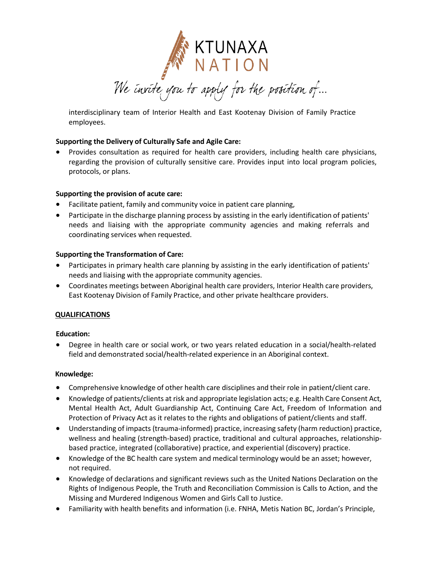

interdisciplinary team of Interior Health and East Kootenay Division of Family Practice employees.

#### **Supporting the Delivery of Culturally Safe and Agile Care:**

 Provides consultation as required for health care providers, including health care physicians, regarding the provision of culturally sensitive care. Provides input into local program policies, protocols, or plans.

#### **Supporting the provision of acute care:**

- Facilitate patient, family and community voice in patient care planning,
- Participate in the discharge planning process by assisting in the early identification of patients' needs and liaising with the appropriate community agencies and making referrals and coordinating services when requested.

### **Supporting the Transformation of Care:**

- Participates in primary health care planning by assisting in the early identification of patients' needs and liaising with the appropriate community agencies.
- Coordinates meetings between Aboriginal health care providers, Interior Health care providers, East Kootenay Division of Family Practice, and other private healthcare providers.

#### **QUALIFICATIONS**

#### **Education:**

 Degree in health care or social work, or two years related education in a social/health-related field and demonstrated social/health-related experience in an Aboriginal context.

#### **Knowledge:**

- Comprehensive knowledge of other health care disciplines and their role in patient/client care.
- Knowledge of patients/clients at risk and appropriate legislation acts; e.g. Health Care Consent Act, Mental Health Act, Adult Guardianship Act, Continuing Care Act, Freedom of Information and Protection of Privacy Act as it relates to the rights and obligations of patient/clients and staff.
- Understanding of impacts (trauma-informed) practice, increasing safety (harm reduction) practice, wellness and healing (strength-based) practice, traditional and cultural approaches, relationshipbased practice, integrated (collaborative) practice, and experiential (discovery) practice.
- Knowledge of the BC health care system and medical terminology would be an asset; however, not required.
- Knowledge of declarations and significant reviews such as the United Nations Declaration on the Rights of Indigenous People, the Truth and Reconciliation Commission is Calls to Action, and the Missing and Murdered Indigenous Women and Girls Call to Justice.
- Familiarity with health benefits and information (i.e. FNHA, Metis Nation BC, Jordan's Principle,